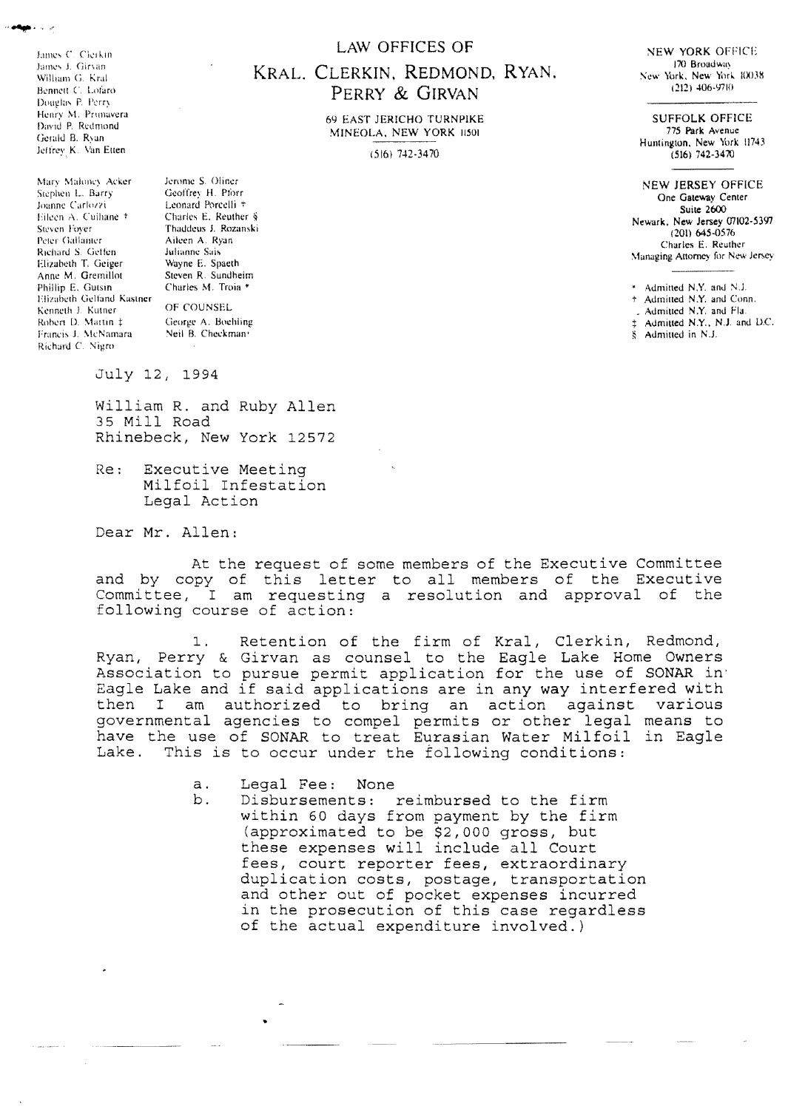James C. Clerkin James J. Girvan William G. Kral Bennett C. Lofaro Douglas P. Perry Henry M. Primavera David P. Redmond Gerald B. Ryan Jeffrey K. Van Etten

Mary Maloney Acker Stephen L. Barry Joanne Carlozzi Eileen A. Culhane + Steven Fover Peter Gallanter Richard S. Geffen Elizabeth T. Geiger Anne M. Gremillot Phillip E. Gutsin Elizabeth Gelfand Kastner Kenneth J. Kutner Robert D. Martin ‡ Francis J. McNamara Richard C. Nigro-

 $\sim$ 

Jerome S. Oliner Geoffrey H. Pforr Leonard Porcelli + Charles E. Reuther § Thaddeus J. Rozanski Aileen A. Ryan Julianne Sais Wayne E. Spaeth Steven R. Sundheim Charles M. Troia \* OF COUNSEL

George A. Boehling Neil B. Checkman<sup>1</sup>

July 12, 1994

William R. and Ruby Allen 35 Mill Road Rhinebeck, New York 12572

 $Re:$ Executive Meeting Milfoil Infestation Legal Action

Dear Mr. Allen:

At the request of some members of the Executive Committee and by copy of this letter to all members of the Executive Committee, I am requesting a resolution and approval of the following course of action:

Retention of the firm of Kral, Clerkin, Redmond,  $1.$ Ryan, Perry & Girvan as counsel to the Eagle Lake Home Owners<br>Association to pursue permit application for the use of SONAR in<br>Eagle Lake and if said applications are in any way interfered with various then I am authorized to bring an action against governmental agencies to compel permits or other legal means to have the use of SONAR to treat Eurasian Water Milfoil in Eagle Lake. This is to occur under the following conditions:

> Legal Fee: None  $a<sub>x</sub>$

b. Disbursements: reimbursed to the firm within 60 days from payment by the firm (approximated to be \$2,000 gross, but these expenses will include all Court fees, court reporter fees, extraordinary duplication costs, postage, transportation and other out of pocket expenses incurred in the prosecution of this case regardless of the actual expenditure involved.)

### **LAW OFFICES OF**

# KRAL, CLERKIN, REDMOND, RYAN, PERRY & GIRVAN

**69 EAST JERICHO TURNPIKE** MINEOLA, NEW YORK 11501

 $(516)$  742-3470

**NEW YORK OFFICE** 170 Broadway New York, New York 10038  $(212)$  406-9710

**SUFFOLK OFFICE** 775 Park Avenue Huntington, New York 11743  $(516) 742 - 3470$ 

**NEW JERSEY OFFICE** One Gateway Center Suite 2600 Newark, New Jersey 07102-5397  $(201)$  645-0576 Charles E. Reuther Managing Attorney for New Jersey

 $*$  Admitted N.Y. and N.I. + Admitted N.Y. and Conn. . Admitted N.Y. and Fla.

± Admitted N.Y., N.J. and D.C.

 $\delta$  Admitted in N.J.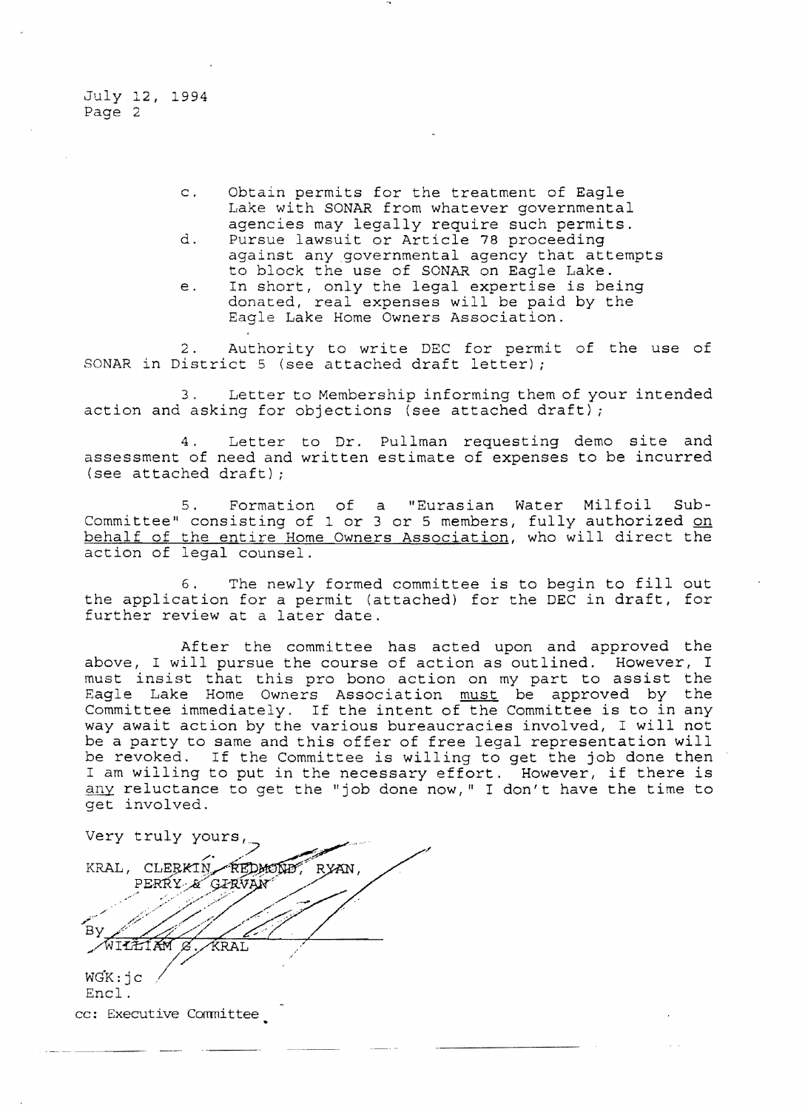- c. Obtain permits for the treatment of Eagle Lake with SONAR from whatever governmental agencies may legally require such permits.
- d. Pursue lawsuit or Article 78 proceeding against any governmental agency that attempts to block the use of SONAR on Eagle Lake.
- e. In short, only the legal expertise is being donated, real expenses will be paid by the Eagle Lake Home Owners Association.

2. Authority to write DEC for permit of the use of SONAR in District 5 (see attached draft letter) *<sup>i</sup>*

3. Letter to Membership informing them of your intended action and asking for objections (see attached draft);

4. Letter to Dr. Pullman requesting demo site and assessment of need and written estimate of expenses to be incurred (see attached draft) <sup>i</sup>

5. Formation of a "Eurasian Water Milfoil Sub-Committee" consisting of 1 or 3 or 5 members, fully authorized on behalf of the entire Home Owners Association, who will direct the action of legal counsel.

6. The newly formed committee is to begin to fill out the application for a permit (attached) for the DEC in draft, for further review at a later date.

After the committee has acted upon and approved the above, I will pursue the course of action as outlined. However, <sup>I</sup> must insist that this pro bono action on my part to assist the Eagle Lake Home Owners Association must be approved by the Committee immediately. If the intent of the Committee is to in any way await action by the various bureaucracies involved, I will not be a party to same and this offer of free legal representation will be revoked. If the Committee is willing to get the job done then I am willing to put in the necessary effort. However, if there is any reluctance to get the "job done now," I don't have the time to get involved.

Very truly yours. KRAL, CLERKIN REDMOND. **RYAN** PERRY & GIRVAN  $W$ ILIIAM  $\beta$ . KRAL  $WGK: jC$ Encl.

cc: Executive Committee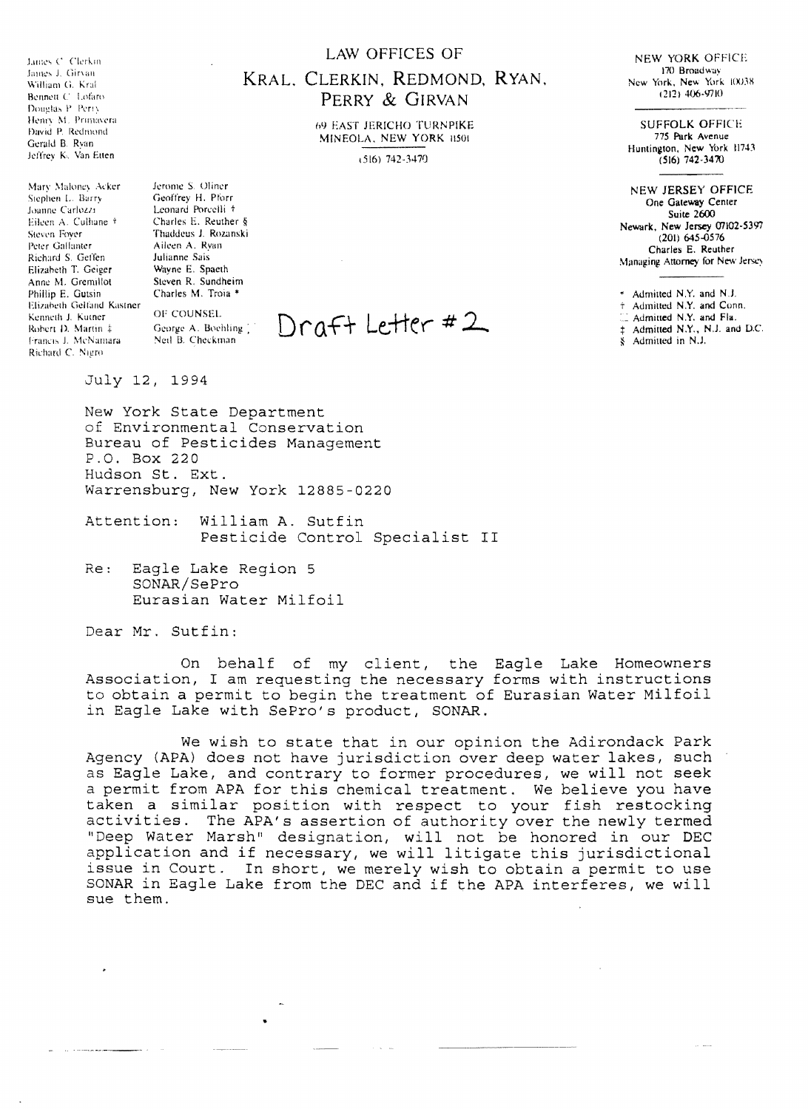Times C. Clerkin James J. Girvan. William G. Kral Bennett C. Lofaro Douglas P. Perry Henry M. Primavera David P. Redmond Gerald B. Ryan Jeffrey K. Van Etten

Mary Maloney Acker Stephen L. Barry foanne Carlozzi Eileen A. Culhane + Steven Fover Peter Gallanter Richard S. Geffen Elizabeth T. Geiger Anne M. Gremillot Phillip E. Gutsin Elizabeth Gelfand Kastner Kenneth J. Kutner Robert D. Martin ± Francis J. McNamara Richard C. Nigro

Jerome S. Oliner Geoffrey H. Pforn Leonard Porcelli + Charles E. Reuther § Thaddeus J. Rozanski Aileen A. Rvan Inlianne Sais Wayne E. Spaeth Steven R. Sundheim Charles M. Troia \*

OF COUNSEL George A. Boehling Neil B. Checkman

#### **LAW OFFICES OF**

# KRAL, CLERKIN, REDMOND, RYAN, PERRY & GIRVAN

69 EAST JERICHO TURNPIKE MINEOLA, NEW YORK 11501

 $(516) 742 - 3470$ 

Draft Letter #2

NEW YORK OFFICE 170 Broadway New York, New York 10038  $(212)$  406-9710

**SUFFOLK OFFICE** 775 Park Avenue Huntington, New York 11743  $(516)$  742-3470

**NEW JERSEY OFFICE** One Gateway Center **Suite 2600** Newark, New Jersey 07102-5397  $(201)$  645-0576 Charles E. Reuther Managing Attorney for New Jersey

\* Admitted N.Y. and N.J.

+ Admitted N.Y. and Conn.

Admitted N.Y. and Fla.

‡ Admitted N.Y., N.J. and D.C.

 $\frac{1}{2}$  Admitted in N.J.

July 12, 1994

New York State Department of Environmental Conservation Bureau of Pesticides Management P.O. Box 220 Hudson St. Ext. Warrensburg, New York 12885-0220

Attention: William A. Sutfin Pesticide Control Specialist II

Re: Eagle Lake Region 5 SONAR/SePro Eurasian Water Milfoil

Dear Mr. Sutfin:

On behalf of my client, the Eagle Lake Homeowners<br>Association, I am requesting the necessary forms with instructions to obtain a permit to begin the treatment of Eurasian Water Milfoil in Eagle Lake with SePro's product, SONAR.

We wish to state that in our opinion the Adirondack Park Agency (APA) does not have jurisdiction over deep water lakes, such as Eagle Lake, and contrary to former procedures, we will not seek a permit from APA for this chemical treatment. We believe you have taken a similar position with respect to your fish restocking<br>activities. The APA's assertion of authority over the newly termed<br>"Deep Water Marsh" designation, will not be honored in our DEC application and if necessary, we will litigate this jurisdictional issue in Court. In short, we merely wish to obtain a permit to use SONAR in Eagle Lake from the DEC and if the APA interferes, we will sue them.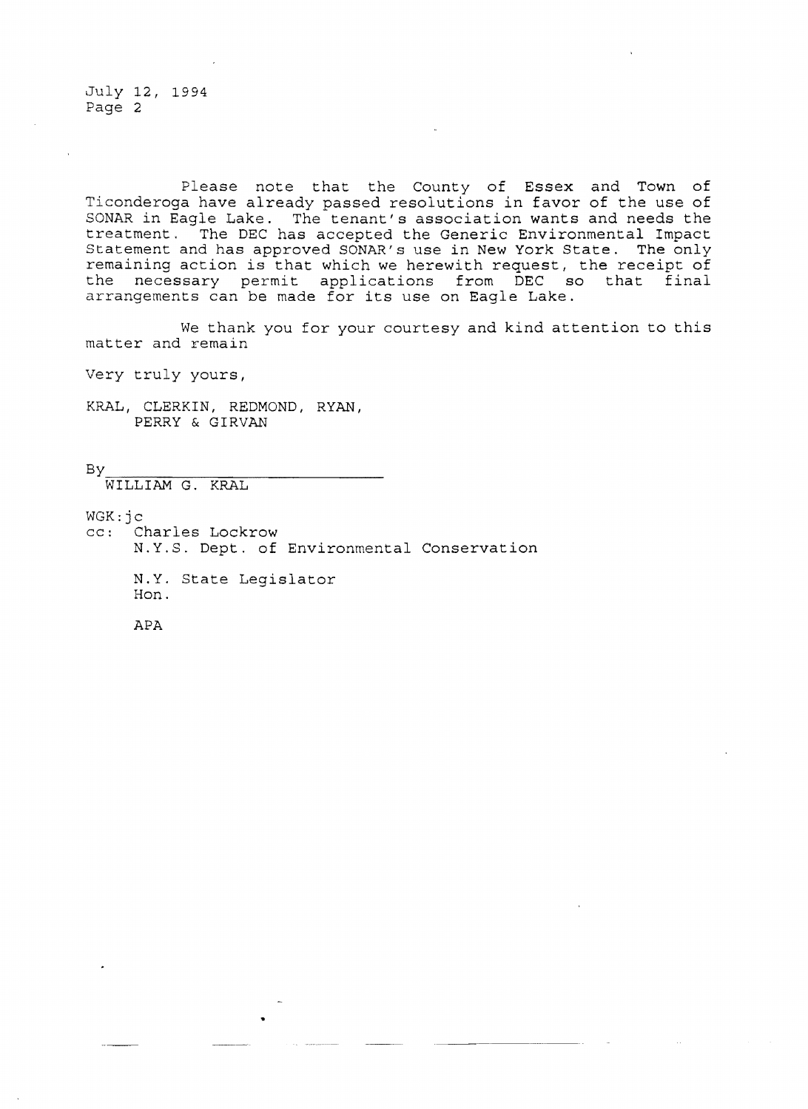Please note that the County of Essex and Town of Ticonderoga have already passed resolutions in favor of the use of SONAR in Eagle Lake. The tenant's association wants and needs the treatment. The DEC has accepted the Generic Environmental Impact Statement and has approved SONAR's use in New York State. The only remaining action is that which we herewith request, the receipt of the necessary permit applications from DEC so that final arrangements can be made for its use on Eagle Lake.

We thank you for your courtesy and kind attention to this matter and remain

Very truly yours,

KRAL, CLERKIN, REDMOND, RYAN, PERRY & GIRVAN

By

WILLIAM G. KRAL

WGK: jc<br>cc: C Charles Lockrow N.Y.S. Dept. of Environmental Conservation N.Y. State Legislator Hon.

APA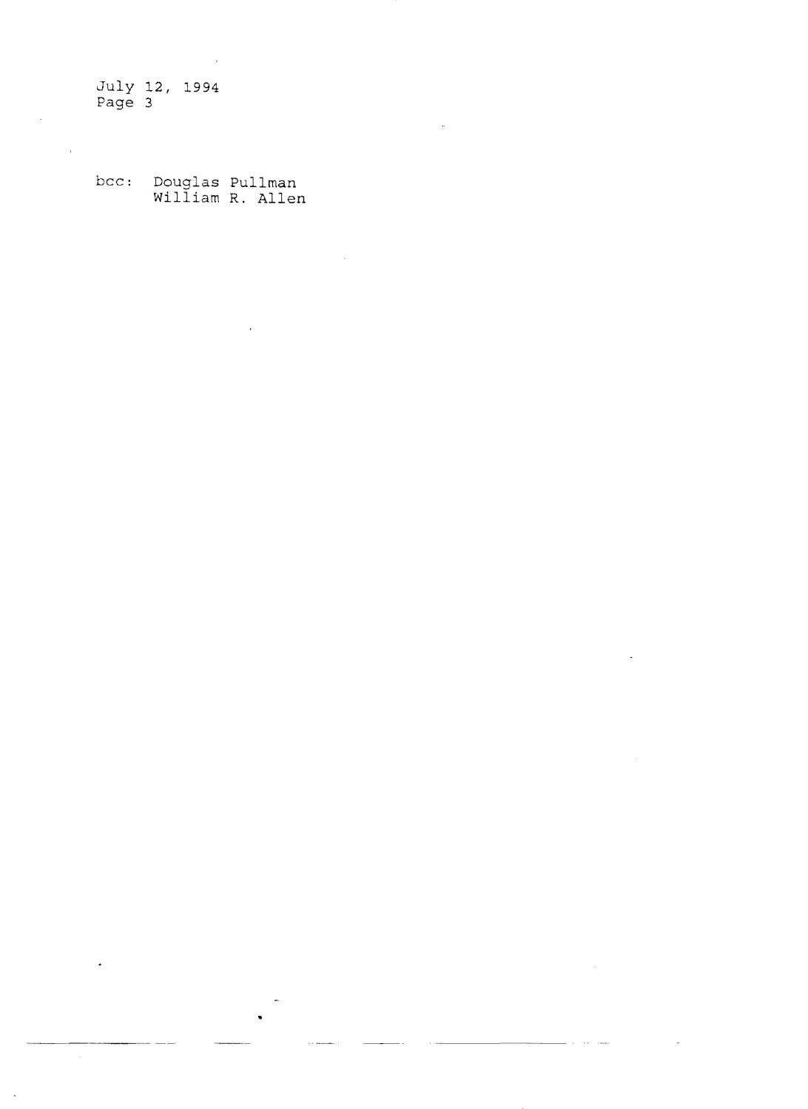$\bar{\mathbf{r}}$ 

bee: Douglas Pullman William **R.** Allen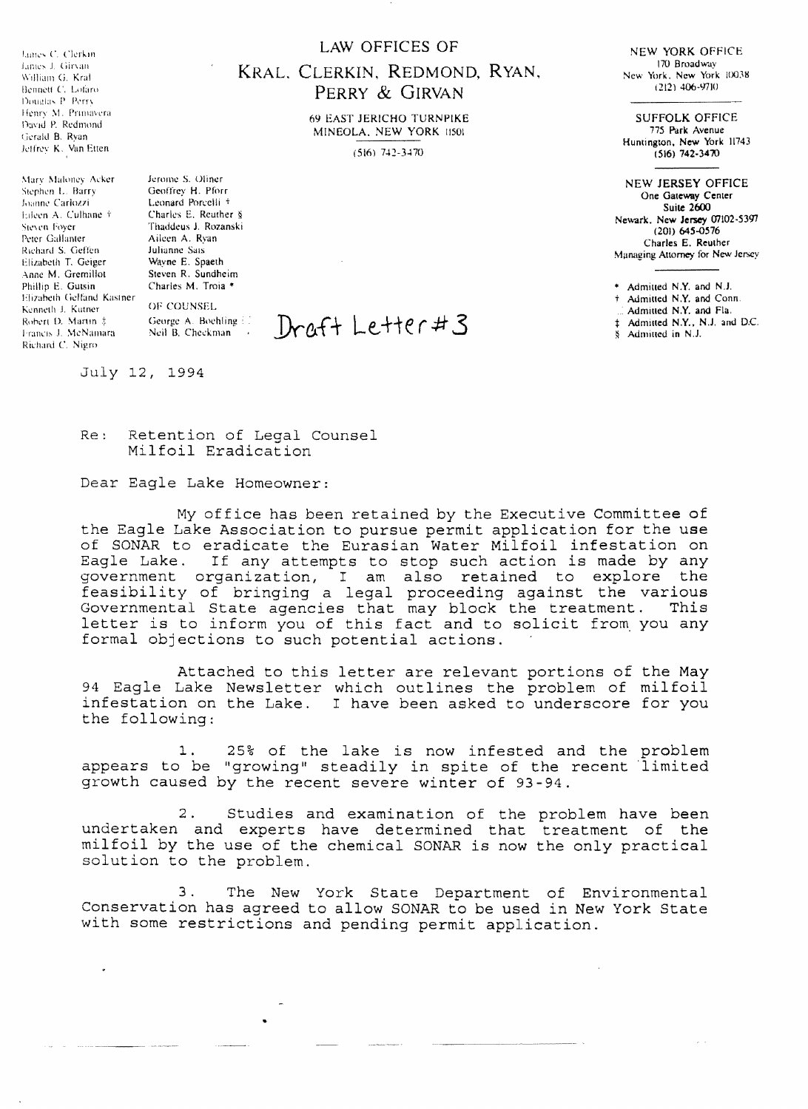James C. Clerkin. Limes J. Girvan William G. Kral Bennett C. Lofaro Douglas P. Perry. Henry M. Primavera David P. Redmond Gerald B. Ryan Jeffrey K. Van Etten

Mary Maloney Acker Stephen L. Barry Joanne Carlozzi Eileen A. Culhane + Sieven Foyer Peter Gallanter Richard S. Geffen Elizabeth T. Geiger Anne M. Gremillot Phillip E. Gutsin Elizabeth Gelfand Kastner Kenneth J. Kutner Robert D. Martin ‡ Francis J. McNamara Richard C. NigroJerome S. Oliner Geoffrey H. Pforr Leonard Porcelli + Charles E. Reuther § Thaddeus J. Rozanski Aileen A. Ryan **Julianne Sais** Wayne E. Spaeth Steven R. Sundheim Charles M. Troia \*

OF COUNSEL George A. Boehling El Neil B. Checkman ...

July 12, 1994

Retention of Legal Counsel Re: Milfoil Eradication

Dear Eagle Lake Homeowner:

My office has been retained by the Executive Committee of the Eagle Lake Association to pursue permit application for the use of SONAR to eradicate the Eurasian Water Milfoil infestation on Eagle Lake. If any attempts to stop such action is made by any government organization, I am also retained to explore the feasibility of bringing a legal proceeding against the various Governmental State agencies that may letter is to inform you of this fact and to solicit from you any formal objections to such potential actions.

Attached to this letter are relevant portions of the May 94 Eagle Lake Newsletter which outlines the problem of milfoil infestation on the Lake. I have been asked to underscore for you the following:

25% of the lake is now infested and the problem  $1$ . appears to be "growing" steadily in spite of the recent limited growth caused by the recent severe winter of 93-94.

Studies and examination of the problem have been  $2.$ undertaken and experts have determined that treatment of the milfoil by the use of the chemical SONAR is now the only practical solution to the problem.

 $3.$ The New York State Department of Environmental Conservation has agreed to allow SONAR to be used in New York State with some restrictions and pending permit application.

## LAW OFFICES OF

## KRAL, CLERKIN, REDMOND, RYAN, PERRY & GIRVAN

**69 EAST JERICHO TURNPIKE** MINEOLA, NEW YORK 11501

 $(516)$  742-3470

 $Dref+Leftert3$ 

**NEW YORK OFFICE** 170 Broadway New York, New York 10038  $(212)$  406-9710

**SUFFOLK OFFICE** 775 Park Avenue Huntington, New York 11743  $(516) 742 - 3470$ 

**NEW JERSEY OFFICE** One Gateway Center **Suite 2600** Newark. New Jersey 07102-5397  $(201)$  645-0576 Charles E. Reuther Managing Attorney for New Jersey

\* Admitted N.Y. and N.J.

+ Admitted N.Y. and Conn.

Admitted N.Y. and Fla.

± Admitted N.Y., N.J. and D.C.

 $\sim$   $\sim$ 

§ Admitted in N.J.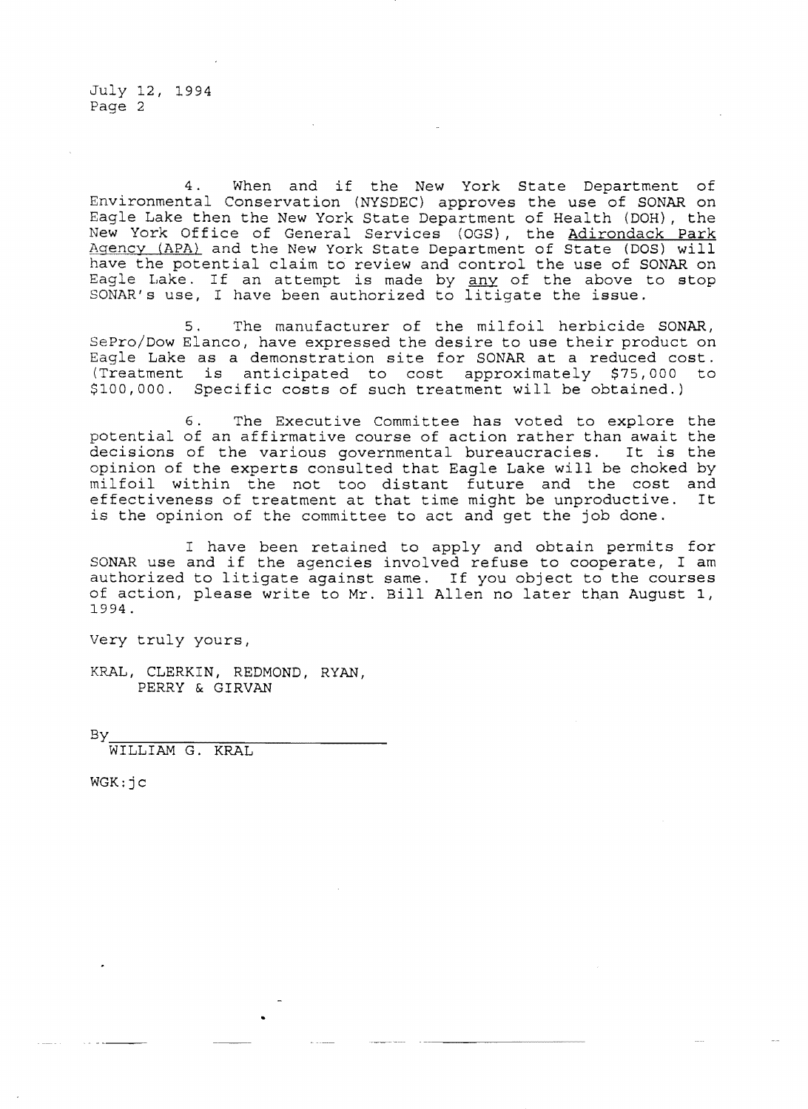4. When and if the New York State Department of Environmental Conservation (NYSDEC) approves the use of SONAR on Eagle Lake then the New York State Department of Health (DOH), the New York Office of General Services (OGS), the Adirondack Park Agency (APA) and the New York State Department of State (DOS) will have the potential claim to review and control the use of SONAR on Lake. If an attempt is made by <u>any</u> of the above to stop Eagre have. It an accempt is made by <u>any</u> of the above the state.

5. The manufacturer of the milfoil herbicide SONAR, SePro/Dow Elanco, have expressed the desire to use their product on Eagle Lake as a demonstration site for SONAR at a reduced cost. (Treatment is anticipated to cost approximately \$75,000 to \$100,000. Specific costs of such treatment will be obtained.)

6. The Executive Committee has voted to explore the potential an affirmative course of action rather than await the decisions of the various governmental bureaucracies. It is the opinion of the experts consulted that Eagle Lake will be choked by milfoil within the not too distant future and the cost and<br>effectiveness of treatment at that time might be unproductive. It effectiveness of treatment at that time might be unproductive. is the opinion of the committee to act and get the job done.

I have been retained to apply and obtain permits for SONAR use and if the agencies involved refuse to cooperate, I am authorized to litigate against same. If you object to the courses of action, please write to Mr. Bill Allen no later than August **1,**  1994.

Very truly yours,

KRAL, CLERKIN, REDMOND, RYAN, PERRY & GIRVAN

By

WILLIAM G. KRAL

WGK:jc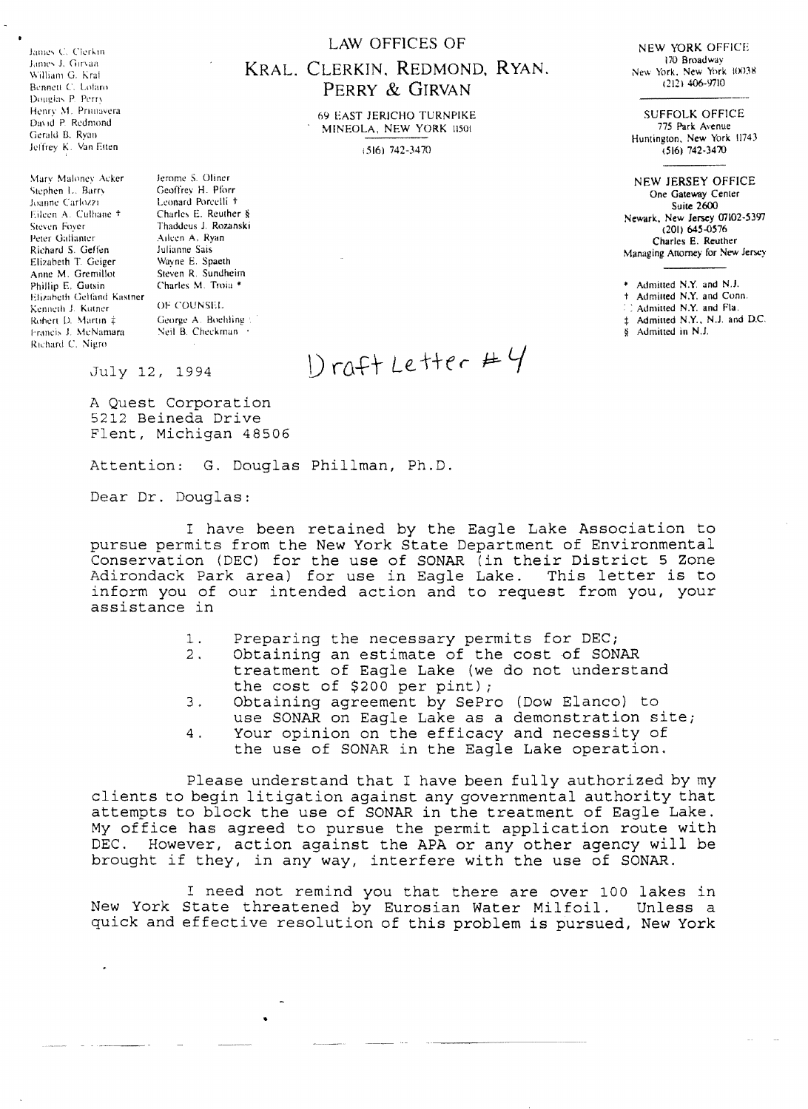James C. Clerkin James J. Girvan William G. Kral Report C. Labia Donelos P. Perry Henry M. Primavera David P. Redmond Gerald B. Ryan Jeffrey K. Van Etten

Mary Maloney Acker Stephen L. Barry Joanne Carlozzi Eileen A. Culhane + Steven Fover Peter Gallanter Richard S. Geffen Elizabeth T. Geiger Anne M. Gremillot Phillip E. Gutsin Elizabeth Gelfand Kastner Kenneth J. Kutner Robert D. Martin ‡ Francis J. McNamara Richard C. Nigro-

Jerome S. Oliner Geoffrey H. Pforr Leonard Porcelli + Charles E. Reuther § Thaddeus J. Rozanski Aileen A. Ryan Julianne Sais Wayne E. Spaeth Steven R. Sundheim Charles M. Troia \*

OF COUNSEL George A. Boehling Neil B. Checkman

#### **LAW OFFICES OF**

# KRAL, CLERKIN, REDMOND, RYAN. PERRY & GIRVAN

**69 EAST JERICHO TURNPIKE** MINEOLA, NEW YORK 11501

 $(516)$  742-3470

NEW YORK OFFICE 170 Broadway New York, New York 10038  $(212)$  406-9710

**SUFFOLK OFFICE** 775 Park Avenue Huntington, New York 11743  $(516)$  742-3470

**NEW JERSEY OFFICE** One Gateway Center Suite 2600 Newark, New Jersey 07102-5397  $(201)$  645-0576 Charles E. Reuther Managing Attorney for New Jersey

\* Admitted N.Y. and N.J.

+ Admitted N.Y. and Conn.

Admitted N.Y. and Fla.

± Admitted N.Y., N.J. and D.C.

8 Admitted in N.J.

July 12, 1994

 $D$ raft Letter # $4$ 

A Quest Corporation 5212 Beineda Drive Flent, Michigan 48506

Attention: G. Douglas Phillman, Ph.D.

Dear Dr. Douglas:

I have been retained by the Eaqle Lake Association to pursue permits from the New York State Department of Environmental Conservation (DEC) for the use of SONAR (in their District 5 Zone Adirondack Park area) for use in Eagle Lake. This letter is to inform you of our intended action and to request from you, your assistance in

- Preparing the necessary permits for DEC;  $1.$
- Obtaining an estimate of the cost of SONAR  $2.$
- treatment of Eagle Lake (we do not understand the cost of \$200 per pint);
- Obtaining agreement by SePro (Dow Elanco) to 3. use SONAR on Eagle Lake as a demonstration site;
- Your opinion on the efficacy and necessity of  $4.$ the use of SONAR in the Eagle Lake operation.

Please understand that I have been fully authorized by my clients to begin litigation against any governmental authority that attempts to block the use of SONAR in the treatment of Eagle Lake. My office has agreed to pursue the permit application route with However, action against the APA or any other agency will be DEC. brought if they, in any way, interfere with the use of SONAR.

I need not remind you that there are over 100 lakes in New York State threatened by Eurosian Water Milfoil. Unless a quick and effective resolution of this problem is pursued, New York